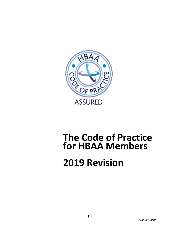

## **The Code of Practice for HBAA Members**

# **2019 Revision**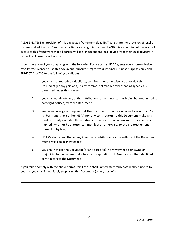PLEASE NOTE: The provision of this suggested framework does NOT constitute the provision of legal or commercial advice by HBAA to any parties accessing this document AND it is a condition of the grant of access to this framework that all parties will seek independent legal advice from their legal advisers in respect of its user or otherwise.

In consideration of you complying with the following license terms, HBAA grants you a non-exclusive, royalty-free license to use this document ("Document") for your internal business purposes only and SUBJECT ALWAYS to the following conditions:

- 1. you shall not reproduce, duplicate, sub-license or otherwise use or exploit this Document (or any part of it) in any commercial manner other than as specifically permitted under this license;
- 2. you shall not delete any author attributions or legal notices (including but not limited to copyright notices) from the Document;
- 3. you acknowledge and agree that the Document is made available to you on an "as is" basis and that neither HBAA nor any contributors to this Document make any (and expressly exclude all) conditions, representations or warranties, express or implied, whether by statute, common law or otherwise, to the greatest extent permitted by law;
- 4. HBAA's status (and that of any identified contributors) as the authors of the Document must always be acknowledged;
- 5. you shall not use the Document (or any part of it) in any way that is unlawful or prejudicial to the commercial interests or reputation of HBAA (or any other identified contributors to the Document).

If you fail to comply with the above terms, this license shall immediately terminate without notice to you and you shall immediately stop using this Document (or any part of it).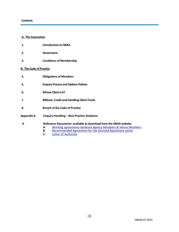#### **A: The Association**

- **1. Introduction to HBAA**
- **2. Governance**
- **3. Conditions of Membership**

#### **B: The Code of Practice**

- **4. Obligations of Members**
- **5. Enquiry Process and Options Policies**
- **6. Whose Client is it?**
- **7. Billback, Credit and Handling Client Funds**
- **8. Breach of the Code of Practice**
- **Appendix A Enquiry Handling – Best Practice Guidance**
- **9**. **Reference Documents: available to download from the HBAA website**
	- **A**: Working agreements [between Agency Members & Venue Members](http://www.hbaa.org.uk/content/code-practice-2017-ref-doc-working-agreements-between-hbaa-agency-members-and-venue-members)
	- **B:** [Recommended Agreement for the Serviced Apartment sector](http://www.hbaa.org.uk/content/code-practice-2017-ref-doc-b-hbaa-agreement-between-agents-apartment-property-partners)<br>**C**: Letter of Authority
	- [Letter of Authority](http://www.hbaa.org.uk/content/code-practice-2017-ref-doc-c-letter-authority)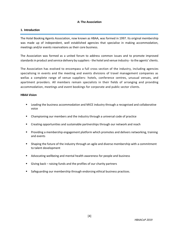#### **A: The Association**

#### **1. Introduction**

The Hotel Booking Agents Association, now known as HBAA, was formed in 1997. Its original membership was made up of independent, well established agencies that specialise in making accommodation, meetings and/or events reservations as their core business.

The Association was formed as a united forum to address common issues and to promote improved standards in product and service delivery by suppliers - the hotel and venue industry - to the agents' clients.

The Association has evolved to encompass a full cross section of the industry, including agencies specialising in events and the meeting and events divisions of travel management companies as wellas a complete range of venue suppliers: hotels, conference centres, unusual venues, and apartment providers. All members remain specialists in their fields of arranging and providing accommodation, meetings and event bookings for corporate and public sector clients.

#### **HBAA Vision**

- **■** Leading the business accommodation and MICE industry through a recognised and collaborative voice
- **•** Championing our members and the industry through a universal code of practice
- **•** Creating opportunities and sustainable partnerships through our network and reach
- Providing a membership engagement platform which promotes and delivers networking, training and events
- Shaping the future of the industry through an agile and diverse membership with a commitment to talent development
- Advocating wellbeing and mental health awareness for people and business
- Giving back raising funds and the profiles of our charity partners
- Safeguarding our membership through endorsing ethical business practices.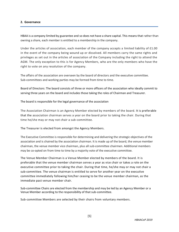#### **2. Governance**

HBAA is a company limited by guarantee and so does not have a share capital. This means that rather than owning a share, each member is entitled to a membership in the company.

Under the articles of association, each member of the company accepts a limited liability of £1.00 in the event of the company being wound up or dissolved. All members carry the same rights and privileges as set out in the articles of association of the Company including the right to attend the AGM. The only exception to this is for Agency Members, who are the only members who have the right to vote on any resolution of the company.

The affairs of the association are overseen by the board of directors and the executive committee. Sub-committees and working parties may be formed from time to time.

Board of Directors: The board consists of three or more officers of the association who ideally commit to serving three years on the board and includes those taking the roles of Chairman and Treasurer.

The board is responsible for the legal governance of the association

The Association Chairman is an Agency Member elected by members of the board. It is preferable that the association chairman serves a year on the board prior to taking the chair. During that time he/she may or may not chair a sub-committee.

The Treasurer is elected from amongst the Agency Members.

The Executive Committee is responsible for determining and delivering the strategic objectives of the association and is chaired by the association chairman. It is made up of the board, the venue member chairman, the venue member vice chairman, plus all sub-committee chairmen. Additional members may be co-opted on from time to time by a majority vote of the executive committee.

The Venue Member Chairman is a Venue Member elected by members of the board. It is preferable that the venue member chairman serves a year as vice chair or takes a role on the executive committee prior to taking the chair. During that time, he/she may or may not chair a sub-committee. The venue chairman is entitled to serve for another year on the executive committee immediately following him/her ceasing to be the venue member chairman, as the immediate past venue member chair.

Sub-committee Chairs are elected from the membership and may be led by an Agency Member or a Venue Member according to the responsibility of that sub-committee.

Sub-committee Members are selected by their chairs from voluntary members.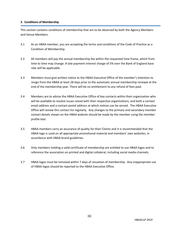#### **3**. **Conditions of Membership**

This section contains conditions of membership that are to be observed by both the Agency Members and Venue Members.

- 3.1 As an HBAA member, you are accepting the terms and conditions of the Code of Practice as a Condition of Membership.
- 3.2 All members will pay the annual membership fee within the requested time frame, which from time to time may change. A late payment interest charge of 5% over the Bank of England base rate will be applicable.
- 3.3 Members must give written notice to the HBAA Executive Office of the member's intention to resign from the HBAA at least 28 days prior to the automatic annual membership renewal at the end of the membership year. There will be no entitlement to any refund of fees paid.
- 3.4 Members are to advise the HBAA Executive Office of key contacts within their organisation who will be available to resolve issues raised with their respective organisations, and both a contact email address and a contact postal address at which notices can be served. The HBAA Executive Office will review this contact list regularly. Any changes to the primary and secondary member contact details shown on the HBAA website should be made by the member using the member profile tool.
- 3.5 HBAA members carry an assurance of quality for their Clients and it is recommended that the HBAA logo is used on all appropriate promotional material and members' own websites, in accordance with HBAA brand guidelines.
- 3.6 Only members holding a valid certificate of membership are entitled to use HBAA logos and to reference the association on printed and digital collateral, including social media channels.
- 3.7 HBAA logos must be removed within 7 days of cessation of membership. Any inappropriate use of HBAA logos should be reported to the HBAA Executive Office.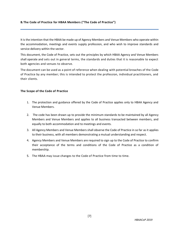#### **B. The Code of Practice for HBAA Members ("The Code of Practice")**

It is the intention that the HBAA be made up of Agency Members and Venue Members who operate within the accommodation, meetings and events supply profession, and who wish to improve standards and service delivery within the sector.

This document, the Code of Practice, sets out the principles by which HBAA Agency and Venue Members shall operate and sets out in general terms, the standards and duties that it is reasonable to expect both agencies and venues to observe.

The document can be used as a point of reference when dealing with potential breaches of the Code of Practice by any member; this is intended to protect the profession, individual practitioners, and their clients.

#### **The Scope of the Code of Practice**

- 1. The protection and guidance offered by the Code of Practice applies only to HBAA Agency and Venue Members.
- 2. The code has been drawn up to provide the minimum standards to be maintained by all Agency Members and Venue Members and applies to all business transacted between members, and equally to both accommodation and to meetings and events.
- 3. All Agency Members and Venue Members shall observe the Code of Practice in so far as it applies to their business, with all members demonstrating a mutual understanding and respect.
- 4. Agency Members and Venue Members are required to sign up to the Code of Practice to confirm their acceptance of the terms and conditions of the Code of Practice as a condition of membership.
- 5. The HBAA may issue changes to the Code of Practice from time to time.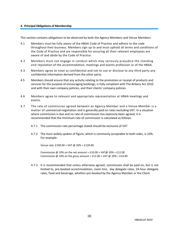#### **4. Principal Obligations of Membership**

This section contains obligations to be observed by both the Agency Members and Venue Members.

- 4.1 Members must be fully aware of the HBAA Code of Practice and adhere to the code throughout their business. Members sign up to and must uphold all terms and conditions of the Code of Practice and are responsible for ensuring all their relevant employees are aware of and abide by the Code of Practice.
- 4.2 Members must not engage in conduct which may seriously prejudice the standing and reputation of the accommodation, meetings and events profession or of the HBAA.
- 4.3 Members agree to treat as confidential and not to use or disclose to any third party any confidential information derived from the other party.
- 4.5 Members should ensure that any activity relating to the promotion or receipt of products and services for the purpose of encouraging bookings, is fully compliant with The Bribery Act 2010 and with their own company policies, and their clients' company policies.
- 4.6 Members agree to relevant and appropriate representation at HBAA meetings and events.
- 4.7 The rate of commission agreed between an Agency Member and a Venue Member is a matter of commercial negotiation and is generally paid on rates excluding VAT. In a situation where commission is due and no rate of commission has expressly been agreed, it is recommended that the minimum rate of commission is calculated as follows:
	- 4.7.1 The commission rate percentage stated should be exclusive of VAT
	- 4.7.2 The most widely spoken of figure, which is commonly acceptable to both sides, is 10%. For example:

Venue rate: £100.00 + VAT @ 20% = £120.00.

Commission @ 10% on the net amount =  $£10.00 + VAT@20% = £12.00$ Commission @ 10% on the gross amount = £12.00 + VAT @ 20% = £14.40

4.7.3 It is recommended that unless otherwise agreed, commission shall be paid on, but is not limited to, pre-booked accommodation, room hire, day delegate rates, 24-hour delegate rates, food and beverage, whether pre-booked by the Agency Member or the Client.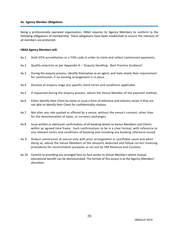#### **4a. Agency Member Obligations**

Being a professionally operated organisation, HBAA requires its Agency Members to conform to the following obligations of membership. These obligations have been established to ensure the interests of all members are protected.

#### **HBAA Agency Members will:**

- 4a.1 Hold IATA accreditation or a TIDS code in order to claim and collect commission payments.
- 4a.2 Qualify enquiries as per Appendix A 'Enquiry Handling Best Practice Guidance'.
- 4a.3 During the enquiry process, identify themselves as an agent, and state clearly their requirement for commission, if no existing arrangement is in place.
- 4a.4 Disclose at enquiry stage any specific client terms and conditions applicable.
- 4a.5 If requested during the enquiry process, advise the Venue Member of the payment method.
- 4a.6 Either identify their Client by name or issue a form of reference and industry sector if they are not able to identify their Client for confidentiality reasons.
- 4a.7 Not alter any rate quoted or offered by a venue, without the venue's consent, other than for the demonstration of taxes, or currency exchanges.
- 4a.8 Issue written or electronic confirmation of all booking details to Venue Members and Clients within an agreed time frame. Such confirmations to be in a clear format, with reference to any relevant terms and conditions of booking and including any booking reference issued.
- 4a.9 Deduct commission at source only with prior arrangement or justifiable cause and when doing so, advise the Venue Members of the amounts deducted and follow correct invoicing procedures for reconciliation purposes as set out by HM Revenue and Customs.
- 4a.10 Commit to providing pre-arranged face-to-face access to Venue Members where mutual educational benefit can be demonstrated. The format of this access is at the Agency Members' discretion.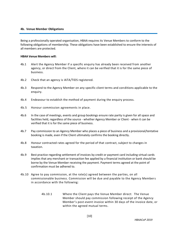#### **4b. Venue Member Obligations**

Being a professionally operated organisation, HBAA requires its Venue Members to conform to the following obligations of membership. These obligations have been established to ensure the interests of all members are protected.

#### **HBAA Venue Members will:**

- 4b.1 Alert the Agency Member if a specific enquiry has already been received from another agency, or direct from the Client, where it can be verified that it is for the same piece of business.
- 4b.2 Check that an agency is IATA/TIDS registered.
- 4b.3 Respond to the Agency Member on any specific client terms and conditions applicable to the enquiry.
- 4b.4 Endeavour to establish the method of payment during the enquiry process.
- 4b.5 Honour commission agreements in place.
- 4b.6 In the case of meetings, events and group bookings ensure rate parity is given for all space and facilities held, regardless of the source - whether Agency Member or Client - when it can be verified that it is for the same piece of business.
- 4b.7 Pay commission to an Agency Member who places a piece of business and a provisional/tentative booking is made, even if the Client ultimately confirms the booking directly.
- 4b.8 Honour contracted rates agreed for the period of that contract, subject to changes in taxation.
- 4b.9 Best practice regarding settlement of invoices by credit or payment card including virtual cards implies that any merchant or transaction fee applied by a financial institution or bank should be borne by the Venue Member receiving the payment. Payment terms agreed at the point of confirmation must be adhered to.
- 4b.10 Agree to pay commission, at the rate(s) agreed between the parties, on all commissionable business. Commission will be due and payable to the Agency Members in accordance with the following:
	- 4b.10.1 Where the Client pays the Venue Member direct: The Venue Member should pay commission following receipt of the Agency Member's post-event invoice within 30 days of the invoice date, or within the agreed mutual terms.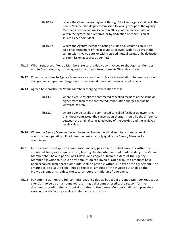- 4b.10.1a Where the Client makes payment through 'disclosed agency' billback, the Venue Member should pay commission following receipt of the Agency Member's post-event invoice within 30 days of the invoice date, or within the agreed mutual terms, or by deduction of commission at source as per point **4a.9**.
- 4b.10.1b Where the Agency Member is acting as Principal: commission will be paid once settlement of the account is received, within 30 days of the commission invoice date, or within agreed mutual terms, or by deduction of commission at source as per **4a.9**.
- 4b.11 When requested, Venue Members are to provide copy invoices to the Agency Member within 5 working days or as agreed after departure of guests/final day of event.
- 4b.12 Commission is due to Agency Members as a result of contracted cancellation charges, 'no show' charges, early departure charges, and other amendments with financial implications.
- 4b.13 Agreed best practice for Venue Members charging cancellation fees is
	- 4b.13.1 where a venue resells the contracted cancelled facilities at the same or higher rates than those contracted, cancellation charges should be waivered entirely
	- 4b.13.2 where a venue resells the contracted cancelled facilities at lower rates than those contracted, the cancellation charges should be the difference between the original contracted value of the booking and the achieved resale value.
- 4b.14 Where the Agency Member has not been involved in the initial enquiry and subsequent confirmation, operating billback does not automatically qualify the Agency Member for commission.
- 4b.15 In the event of a disputed commission invoice, pay all undisputed amounts within the stipulated time, as herein referred, leaving the disputed amounts outstanding. The Venue Member shall have a period of 14 days, or as agreed, from the date of the Agency Member's invoice to dispute any amount on the invoice. Once disputed amounts have been resolved such agreed amounts shall be payable within 14 days of the agreement. The amount to be disputed shall not be the total amount of the invoice but shall be the individual amounts, unless the total amount is made up of one entry.
- 4b.16 Pay commission on the full commissionable value as booked if a Venue Member reduced a client's invoice by an amount representing a discount or credit, the reason for the discount or credit being without doubt due to the Venue Member's failure to provide a service, unsatisfactory service or similar circumstance.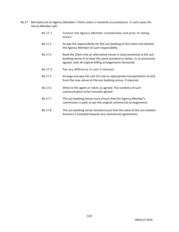- 4b.17 Not book out an Agency Members' Client unless in extreme circumstances. In such cases the Venue Member will:
	- 4b.17.1 Contact the Agency Member immediately and prior to taking action.
	- 4b.17.2 Accept full responsibility for the out-booking to the Client and absolve the Agency Member of such responsibility.
	- 4b.17.3 Book the Client into an alternative venue in close proximity to the outbooking venue of at least the same standard or better, or as previously agreed, with all original billing arrangements honoured.
	- 4b.17.4 Pay any difference in cost if relevant.
	- 4b.17.5 Arrange and pay the cost of a taxi or appropriate transportation to and from the new venue to the out-booking venue, if required.
	- 4b.17.6 Write to the agent or client, as agreed. The contents of such communication to be mutually agreed.
	- 4b.17.7 The out-booking venue must ensure that the Agency Member's commission is paid, as per the original commercial arrangements.
	- 4b.17.8 The out-booking venue should ensure that the value of the out-booked business is included towards any commercial agreements.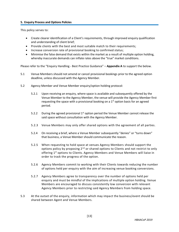#### **5. Enquiry Process and Options Policies**

This policy serves to:

- Create clearer identification of a Client's requirements, through improved enquiry qualification and understanding of client brief;
- Provide clients with the best and most suitable match to their requirements;
- Increase conversion rate of provisional booking to confirmed status;
- Minimise the false demand that exists within the market as a result of multiple option holding, whereby inaccurate demands can inflate rates above the "true" market conditions.

Please refer to the "Enquiry Handling - Best Practice Guidance" – **Appendix A** to support the below.

- 5.1 Venue Members should not amend or cancel provisional bookings prior to the agreed option deadline, unless discussed with the Agency Member.
- 5.2 Agency Member and Venue Member enquiry/option holding protocol:
	- 5.2.1 Upon receiving an enquiry, where space is available and subsequently offered by the Venue Member to the Agency Member, the venue will provide the Agency Member first requesting the space with a provisional booking on a  $1<sup>st</sup>$  option basis for an agreed period.
	- 5.2.2 During the agreed provisional  $1<sup>st</sup>$  option period the Venue Member cannot release the said space without consultation with the Agency Member.
	- 5.2.3 Venue Members may only offer shared options with the agreement of all parties.
	- 5.2.4 On receiving a brief, where a Venue Member subsequently "denies" or "turns down" that business, a Venue Member should communicate the reason.
	- 5.2.5 When requesting to hold space at venues Agency Members should support the options policy by proposing  $2^{nd}$  or shared options to Clients and not restrict to only offering 1<sup>st</sup> options to Clients. Agency Members and Venue Members will liaise in order to track the progress of the option.
	- 5.2.6 Agency Members commit to working with their Clients towards reducing the number of options held per enquiry with the aim of increasing venue booking conversions.
	- 5.2.7 Agency Members agree to transparency over the number of options held per enquiry and must be mindful of the implications of multiple option holding. Venue Members are encouraged to discuss consistently low conversion with relevant Agency Members prior to restricting said Agency Members from holding space.
- 5.3 At the outset of the enquiry, information which may impact the business/event should be shared between Agent and Venue Members.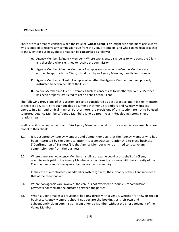#### **6. Whose Client Is It?**

There are four areas to consider when the issue of '**whose Client is it?**' might arise and more particularly who is entitled to receive any commission due from the Venue Members, and who can make approaches to the Client for business. These areas can be categorised as follows:

- **A.** Agency Member & Agency Member Where two agents disagree as to who owns the Client and therefore who is entitled to receive the commission
- **B.** Agency Member & Venue Member Examples such as when the Venue Members are entitled to approach the Client, introduced by an Agency Member, directly for business
- **C.** Agency Member & Client Examples of whether the Agency Member has been properly instructed to act on behalf of the Client
- **D.** Venue Member and Client Examples such as concerns as to whether the Venue Member has been properly instructed to act on behalf of the Client

The following provisions of this section are to be considered as best practice and it is the intention of this section, as it is throughout this document that Venue Members and Agency Members operate in a fair and ethical manner. Furthermore, the provisions of this section are not to be used to protect Agency Members/ Venue Members who do not invest in developing strong client relationships.

In all cases it is recommended that HBAA Agency Members should disclose a commission-based business model to their clients

- 6.1 It is accepted by Agency Members and Venue Members that the Agency Member who has been instructed by the Client to enter into a contractual relationship to place business ("Confirmation of Business") is the Agency Member who is entitled to receive any commission due from the business.
- 6.2 Where there are two Agency Members handling the same booking on behalf of a Client, commission is paid to the Agency Member who confirms the business with the authority of the Client, not necessarily the agency that makes the first enquiry.
- 6.3 In the case of a contracted (mandated or rostered) Client, the authority of the Client supersedes that of the client booker.
- 6.4 Where two agencies are involved, the venue is not expected to 'double-up' commission payments nor mediate the outcome between the parties
- 6.5 When a Client makes a provisional booking direct with a venue, whether for new or repeat business, Agency Members should not declare the bookings as their own and subsequently claim commission from a Venue Member without the prior agreement of the Venue Member.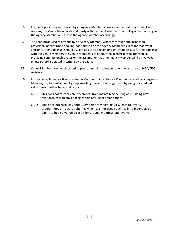- 6.6 If a Client previously introduced by an Agency Member advises a venue that they would like to re-book, the Venue Member should clarify with the Client whether they will again be booking via the Agency Member and advise the Agency Member accordingly.
- 6.7 A Client introduced to a venue by an Agency Member, whether through site inspection, provisional or confirmed booking, continues to be the Agency Member's client for that event and/or further bookings. Should a Client at site inspection or post-event discuss further bookings with the Venue Member, the Venue Member is to honour the agent/client relationship by providing commissionable rates on the assumption that the Agency Member will be involved, unless otherwise stated in writing by the Client.
- 6.8 Venue Members are not obligated to pay commission to organisations which are not IATA/TIDS registered.
- 6.9 It is not acceptable practice for a Venue Member to incentivise a Client introduced by an Agency Member, to place subsequent group, meeting or event bookings direct by using price, added value items or other beneficial factors.
	- 6.9.1 This does not restrict Venue Members from maintaining existing and building new relationships with any bookers within any Client organisations.
	- 6.9.2 This does not restrict Venue Members from signing up Clients to loyalty programmes or reward schemes which are not used specifically to incentivise a Client to book a venue directly for groups, meetings and events.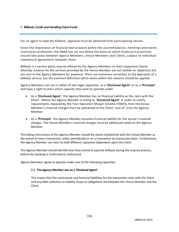#### **7. Billback, Credit and Handling Client Funds**

For an agent to operate billback, approval must be obtained from participating venues.

Given the importance of financial best practice within the accommodation, meetings and events reservation profession, the HBAA has set out below the basis on which financial transactions should take place between Agency Members, Venue Members and Clients, subject to individual commercial agreements between them.

Billback is a service which may be offered by the Agency Members to their respective Clients, whereby invoices for the services provided by the Venue Member are not settled on departure but are sent to the Agency Members for payment. There are numerous variations to the operation of a billback service, but the common definition which exists within the industry should be applied.

Agency Members can act in either of two legal capacities, as a '**Disclosed Agent**' or as a '**Principal**' and have a right to elect which capacity they wish to operate under.

- As a '**Disclosed Agent**', the Agency Member has no financial liability as this rests with the Client. Where the Agency Member is acting as '**Disclosed Agent**' in order to satisfy requirements imposed by the Tour Operators Margin Scheme (TOMS), then the Venue Member's invoiced charges must be addressed to the Client 'care of' (c/o) the Agency Member.
- As a '**Principal**', the Agency Member assumes financial liability for the venue's invoiced charges. The Venue Member's invoiced charges must be addressed solely to the Agency Member.

The billing instructions of the Agency Member should be clearly established with the Venue Member at the outset of every transaction, either periodically or on a transaction by transaction basis. Furthermore, the Agency Member can elect to hold different capacities dependent upon the Client.

The Agency Member should identify how they intend to operate billback during the enquiry process, before the booking is confirmed or contracted.

Agency Members agree to operate under one of the following capacities:

#### **7.1 The Agency Member acts as a 'Disclosed Agent'**

This means that the contractual and financial liabilities for the transaction rests with the Client and any debt collection or liability issues or obligations are between the Venue Member and the Client.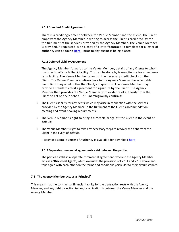#### **7.1.1 Standard Credit Agreement**

There is a credit agreement between the Venue Member and the Client. The Client empowers the Agency Member in writing to access the Client's credit facility for the fulfilment of the services provided by the Agency Member. The Venue Member is provided, if requested, with a copy of a letter/contract, (a template for a letter of authority can be found [here\)](http://www.hbaa.org.uk/content/code-practice-2017-ref-doc-c-letter-authority), prior to any business being placed.

#### **7.1.2 Deferred Liability Agreement**

The Agency Member forwards to the Venue Member, details of any Clients to whom it wishes to offer a billback facility. This can be done by transaction or for a mediumterm facility. The Venue Member takes out the necessary credit checks on the Client. The Venue Member confirms back to the Agency Member the acceptable credit limit they would offer the Client/s in question. The Venue Member may provide a standard credit agreement for signature by the Client. The Agency Member then provides the Venue Member with evidence of authority from the Client to act on their behalf. This unambiguously confirms:

- The Client's liability for any debts which may arise in connection with the services provided by the Agency Member, in the fulfilment of the Client's accommodation, meeting and event booking requirements;
- The Venue Member's right to bring a direct claim against the Client in the event of default;
- The Venue Member's right to take any necessary steps to recover the debt from the Client in the event of default.

A copy of a sample Letter of Authority is available for download [here](http://www.hbaa.org.uk/content/code-practice-2017-ref-doc-c-letter-authority)

#### **7.1.3 Separate commercial agreements exist between the parties.**

The parties establish a separate commercial agreement, wherein the Agency Member acts as a '**Disclosed Agent**', which overrides the provisions of 7.1.1 and 7.1.2 above and thus agree with each other on the terms and conditions particular to their circumstances.

#### **7.2 The Agency Member acts as a 'Principal'**

This means that the contractual financial liability for the transaction rests with the Agency Member, and any debt collection issues, or obligation is between the Venue Member and the Agency Member.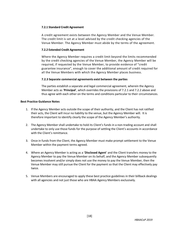#### **7.2.1 Standard Credit Agreement**

A credit agreement exists between the Agency Member and the Venue Member. The credit limit is set at a level advised by the credit checking agencies of the Venue Member. The Agency Member must abide by the terms of the agreement.

#### **7.2.2 Extended Credit Agreement**

Where the Agency Member requires a credit limit beyond the limits recommended by the credit checking agencies of the Venue Member, the Agency Member will be required, if requested by the Venue Member, to provide evidence of "credit guarantee insurance", enough to cover the additional amount of credit required for all the Venue Members with which the Agency Member places business.

#### **7.2.3 Separate commercial agreements exist between the parties**

The parties establish a separate and legal commercial agreement, wherein the Agency Member acts as '**Principal**', which overrides the provisions of 7.2.1 and 7.2.2 above and thus agree with each other on the terms and conditions particular to their circumstances.

#### **Best Practice Guidance Notes**

- 1. If the Agency Member acts outside the scope of their authority, and the Client has not ratified their acts, the Client will incur no liability to the venue, but the Agency Member will. It is therefore important to identify clearly the scope of the Agency Member's authority.
- 2. The Agency Member shall undertake to hold its Client's funds in a non-trading account and shall undertake to only use those funds for the purpose of settling the Client's accounts in accordance with the Client's remittance.
- 3. Once in funds from the Client, the Agency Member must make prompt settlement to the Venue Member within the payment terms agreed.
- 4. Where an Agency Member is acting as a '**Disclosed Agent**' and the Client transfers money to the Agency Member to pay the Venue Member on its behalf, and the Agency Member subsequently becomes insolvent and/or simply does not use the money to pay the Venue Member, then the Venue Member may still pursue the Client for the payment so that the Client may effectively pay twice.
- 5. Venue Members are encouraged to apply these best practice guidelines in their billback dealings with all agencies and not just those who are HBAA Agency Members exclusively.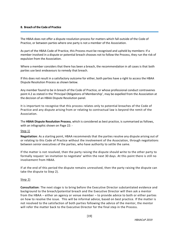#### **8. Breach of the Code of Practice**

The HBAA does not offer a dispute resolution process for matters which fall outside of the Code of Practice, or between parties where one party is not a member of the Association.

As part of the HBAA Code of Practice, this Process must be recognised and upheld by members: If a member involved in a dispute or potential breach chooses not to follow the Process, they run the risk of expulsion from the Association.

Where a member considers that there has been a breach, the recommendation in all cases is that both parties use best endeavours to remedy that breach.

If this does not result in a satisfactory outcome for either, both parties have a right to access the HBAA Dispute Resolution Process as shown below.

Any member found to be in breach of the Code of Practice, or whose professional conduct contravenes point 4.2 as stated in the 'Principal Obligations of Membership', may be expelled from the Association at the decision of an HBAA Dispute Resolution panel.

It is important to recognise that this process relates only to potential breaches of the Code of Practice and any dispute arising from or relating to contractual law is beyond the remit of the Association.

The **HBAA Dispute Resolution Process**, which is considered as best practice, is summarised as follows, with an infographic shown on Page 22: -

#### Step 1)

**Negotiation**: As a starting point, HBAA recommends that the parties resolve any dispute arising out of or relating to this Code of Practice without the involvement of the Association, through negotiations between senior executives of the parties, who have authority to settle the same.

If the matter is not resolved, then the party raising the dispute should write to the other party to formally request 'an invitation to negotiate' within the next 30 days. At this point there is still no involvement from HBAA.

If at the end of this period the dispute remains unresolved, then the party raising the dispute can take the dispute to Step 2).

#### Step 2)

**Consultation**: The next stage is to bring before the Executive Director substantiated evidence and background to the breach/potential breach and the Executive Director will then ask a mentor from the HBAA – either an agency or venue member – to provide advice to both or either parties on how to resolve the issue. This will be informal advice, based on best practice. If the matter is not resolved to the satisfaction of both parties following the advice of the mentor, the mentor will refer the matter back to the Executive Director for the final step in the Process.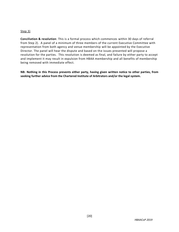### Step 3)

**Conciliation & resolution**: This is a formal process which commences within 30 days of referral from Step 2). A panel of a minimum of three members of the current Executive Committee with representation from both agency and venue membership will be appointed by the Executive Director. The panel will hear the dispute and based on the issues presented will propose a resolution for the parties. This resolution is deemed as final, and failure by either party to accept and implement it may result in expulsion from HBAA membership and all benefits of membership being removed with immediate effect.

**NB: Nothing in this Process prevents either party, having given written notice to other parties, from seeking further advice from the Chartered Institute of Arbitrators and/or the legal system.**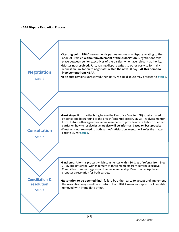#### **HBAA Dispute Resolution Process**

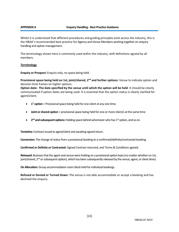Whilst it is understood that different procedures and guiding principles exist across the industry, this is the HBAA's recommended best practice for Agency and Venue Members working together on enquiry handling and option management.

The terminology shown here is commonly used within the industry, with definitions agreed by all members.

#### **Terminology**

**Enquiry or Prospect:** Enquiry only, no space being held.

**Provisional space being held on 1st, joint/shared, 2nd and further options:** Venue to indicate option and decision time frames on higher options.

**Option date: The date specified by the venue until which the option will be held**: It should be clearly communicated if option dates are being used. It is essential that the option status is clearly clarified for agent/client.

- **• 1**<sup>st</sup> **option** = Provisional space being held for one client at any one time.
- **Joint or shared option** = provisional space being held for one or more client/s at the same time
- **2<sup>nd</sup> and subsequent options:** Holding space behind whomever who has 1<sup>st</sup> option, and so on.

**Tentative:** Contract issued to agent/client and awaiting signed return.

**Conversion:** The change of status from a provisional booking to a confirmed/definite/contracted booking.

**Confirmed or Definite or Contracted:** Signed Contract returned, and Terms & Conditions agreed.

**Released:** Business that the agent and venue were holding on a provisional option basis (no matter whether on 1st, joint/shared, 2<sup>nd</sup> or subsequent option), which has been subsequently released by the venue, agent, or client direct.

**On Allocation:** Group accommodation room block held for individual bookings.

**Refused or Denied or Turned Down:** The venue is not able accommodate or accept a booking and has declined the enquiry.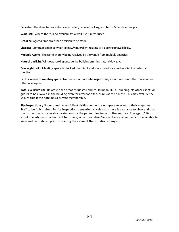**Cancelled:** The client has cancelled a contracted/definite booking, and Terms & Conditions apply.

**Wait List:** Where there is no availability, a wait list is introduced.

**Deadline**: Agreed time scale for a decision to be made.

**Chasing:** Communication between agency/venue/client relating to a booking or availability.

**Multiple Agents**: The same enquiry being received by the venue from multiple agencies.

**Natural daylight**: Windows looking outside the building emitting natural daylight.

**Overnight hold**: Meeting space is blocked overnight and is not used for another client or internal function.

**Exclusive use of meeting space:** No one to conduct site inspections/showrounds into the space, unless otherwise agreed.

**Total exclusive use**: Relates to the areas requested and could mean TOTAL building. No other clients or guests to be allowed in the building even for afternoon tea, drinks at the bar etc. This may exclude the leisure club if the hotel has a private membership*.*

**Site inspections / Showround**: Agent/client visiting venue to view space relevant to their enquiries. Staff to be fully trained in site inspections, ensuring all relevant space is available to view and that the inspection is preferably carried out by the person dealing with the enquiry. The agent/client should be advised in advance if full space/accommodation/relevant area of venue is not available to view and be updated prior to visiting the venue if the situation changes.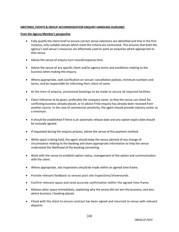#### **MEETINGS, EVENTS & GROUP ACCOMMODATION ENQUIRY HANDLING GUIDLINES**

#### **From the Agency Member's perspective**

- Fully qualify the client brief to ensure correct venue selections are identified and that in the first instance, only suitable venues which meet the criteria are contracted. This ensures that both the agency's and venue's resources are effectively used to work on enquiries which appropriate to that venue.
- Advise the venue of enquiry turn-round/response time.
- Advise the venue of any specific client and/or agency terms and conditions relating to the business when making the enquiry.
- Where appropriate, seek clarification on venues' cancellation policies, minimum numbers and terms, and be responsible for informing their client of same.
- At the time of enquiry, provisional bookings to be made to secure all required facilities.
- Client reference to be given, preferably the company name, so that the venue can check for conflicting business already placed, or to advise if the enquiry has already been received from another source. In the case of commercial sensitivity, the agent should provide industry sector as a minimum.
- It should be established if there is an automatic release date and any option expiry date should be mutually agreed.
- If requested during the enquiry process, advise the venue of the payment method.
- While space is being held, the agent should keep the venue advised of any change of circumstance relating to the booking and share appropriate information to help the venue understand the likelihood of the booking converting.
- Work with the venue to establish option status, management of the option and communication with the client.
- Where appropriate, site inspections should be made within an agreed time frame.
- Provide relevant feedback to venues post site inspections/showrounds.
- Confirm relevant space and send accurate confirmation within the agreed time frame.
- Release other space immediately, explaining why the venue did not win the business, and also where business / booking placed.
- Check with the client to ensure contract has been signed and returned to venue with relevant deposits.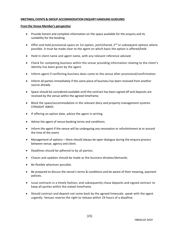#### **MEETINGS, EVENTS & GROUP ACCOMMODATION ENQUIRY HANDLING GUIDLINES**

#### **From the Venue Member's perspective**

- Provide honest and complete information on the space available for the enquiry and its suitability for the booking.
- Offer and hold provisional space on 1st option, joint/shared, 2<sup>nd</sup> or subsequent options where possible. It must be made clear to the agent on which basis the option is offered/held.
- Hold in client name and agent name, with any relevant reference advised.
- Check for competing business within the venue providing information relating to the client's identity has been given by the agent.
- Inform agent if conflicting business does come to the venue after provisional/confirmation.
- Inform all parties immediately if the same piece of business has been received from another source already.
- Space should be considered available until the contract has been signed off and deposits are received by the venue within the agreed timeframe.
- Block the space/accommodation in the relevant diary and property management systems STRAIGHT AWAY.
- If offering an option date, advise the agent in writing.
- Advise the agent of venue booking terms and conditions.
- Inform the agent if the venue will be undergoing any renovation or refurbishment at or around the time of the event.
- Management of options there should always be open dialogue during the enquiry process between venue, agency and client.
- Deadlines should be adhered to by all parties.
- Chases and updates should be made as the business dictates/demands.
- Be flexible wherever possible.
- Be prepared to discuss the venue's terms & conditions and be aware of their meaning, payment policies.
- Issue contracts in a timely fashion, and subsequently chase deposits and signed contract to keep all parties within the stated timeframe.
- Should contract and deposit not come back by the agreed timescale, speak with the agent urgently. Venues reserve the right to release within 24 hours of a deadline.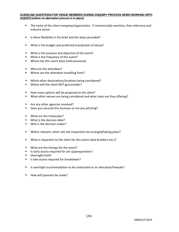#### **GUIDELINE QUESTIONS FOR VENUE MEMBERS DURING ENQUIRY PROCESS WHEN WORKING WITH AGENTS (where no alternative process is in place)**

- **■** The name of the client company/organisation. If commercially sensitive, then reference and industry sector.
- Is there flexibility in the brief and the dates provided?
- What is the budget and preferred brand/style of venue?
- What is the purpose and objective of the event?
- What is the frequency of this event?
- Where has this event been held previously
- Who are the attendees?
- Where are the attendees travelling from?
- Which other destinations/locations being considered?
- Where will the client NOT go/consider?
- How many options will be proposed to the client?
- What other venues are being considered and what rates are they offering?
- Are any other agencies involved?
- Have you secured this business or are you pitching?
- What are the timescales?
- What is the decision date?
- Who is the decision maker?
- Where relevant, when will site inspections be arranged/taking place?
- What is important to the client for this event (deal breakers etc.)?
- What are the timings for the event?
- Is early access required for set-up/preparation?
- Overnight hold?
- Is late access required for breakdown?
- Is overnight accommodation to be contracted or on allocation/freesale?
- How will payment be made?